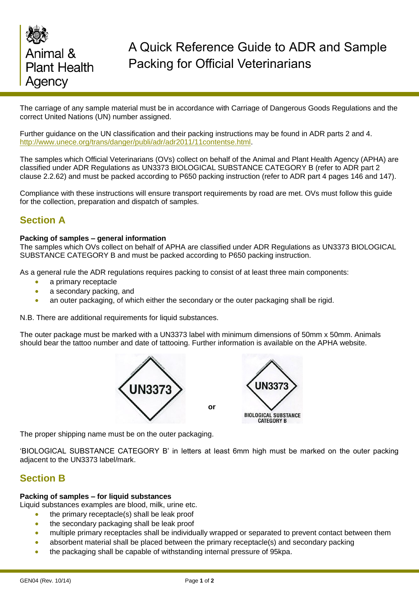

The carriage of any sample material must be in accordance with Carriage of Dangerous Goods Regulations and the correct United Nations (UN) number assigned.

Further guidance on the UN classification and their packing instructions may be found in ADR parts 2 and 4. [http://www.unece.org/trans/danger/publi/adr/adr2011/11contentse.html.](http://www.unece.org/trans/danger/publi/adr/adr2011/11contentse.html)

The samples which Official Veterinarians (OVs) collect on behalf of the Animal and Plant Health Agency (APHA) are classified under ADR Regulations as UN3373 BIOLOGICAL SUBSTANCE CATEGORY B (refer to ADR part 2 clause 2.2.62) and must be packed according to P650 packing instruction (refer to ADR part 4 pages 146 and 147).

Compliance with these instructions will ensure transport requirements by road are met. OVs must follow this guide for the collection, preparation and dispatch of samples.

# **Section A**

### **Packing of samples – general information**

The samples which OVs collect on behalf of APHA are classified under ADR Regulations as UN3373 BIOLOGICAL SUBSTANCE CATEGORY B and must be packed according to P650 packing instruction.

As a general rule the ADR regulations requires packing to consist of at least three main components:

- a primary receptacle
- a secondary packing, and
- an outer packaging, of which either the secondary or the outer packaging shall be rigid.

N.B. There are additional requirements for liquid substances.

The outer package must be marked with a UN3373 label with minimum dimensions of 50mm x 50mm. Animals should bear the tattoo number and date of tattooing. Further information is available on the APHA website.



The proper shipping name must be on the outer packaging.

'BIOLOGICAL SUBSTANCE CATEGORY B' in letters at least 6mm high must be marked on the outer packing adjacent to the UN3373 label/mark.

## **Section B**

### **Packing of samples – for liquid substances**

Liquid substances examples are blood, milk, urine etc.

- the primary receptacle(s) shall be leak proof
- the secondary packaging shall be leak proof
- multiple primary receptacles shall be individually wrapped or separated to prevent contact between them
- absorbent material shall be placed between the primary receptacle(s) and secondary packing
- the packaging shall be capable of withstanding internal pressure of 95kpa.